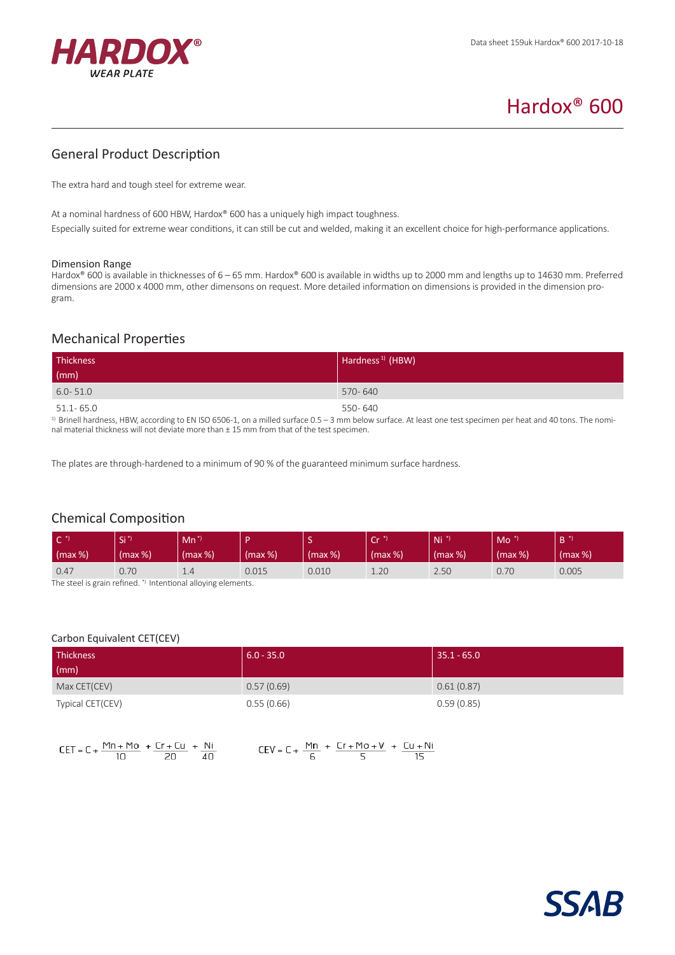

# Hardox® 600

# General Product Description

The extra hard and tough steel for extreme wear.

At a nominal hardness of 600 HBW, Hardox® 600 has a uniquely high impact toughness.

Especially suited for extreme wear conditions, it can still be cut and welded, making it an excellent choice for high-performance applications.

#### Dimension Range

Hardox® 600 is available in thicknesses of 6 – 65 mm. Hardox® 600 is available in widths up to 2000 mm and lengths up to 14630 mm. Preferred dimensions are 2000 x 4000 mm, other dimensons on request. More detailed information on dimensions is provided in the dimension program.

# Mechanical Properties

| Thickness     | Hardness <sup>1)</sup> (HBW) |
|---------------|------------------------------|
| (mm)          |                              |
| $6.0 - 51.0$  | 570-640                      |
| $51.1 - 65.0$ | 550-640                      |

 $1)$  Brinell hardness, HBW, according to EN ISO 6506-1, on a milled surface 0.5 – 3 mm below surface. At least one test specimen per heat and 40 tons. The nominal material thickness will not deviate more than  $\pm$  15 mm from that of the test specimen.

The plates are through-hardened to a minimum of 90 % of the guaranteed minimum surface hardness.

# Chemical Composition

| $\mathsf{C}^*$<br>$\frac{1}{2}$ (max %)                       | Si "<br>$(max %)$ | $Mn^*$<br>(max %) | (max %) | (max %) | $\sim$<br>◡<br>(max %) | $Ni*$<br>(max %) | Mo<br>(max %) | (max %) |
|---------------------------------------------------------------|-------------------|-------------------|---------|---------|------------------------|------------------|---------------|---------|
| 0.47                                                          | 0.70              | 1.4               | 0.015   | 0.010   | 1.20                   | 2.50             | 0.70          | 0.005   |
| The steel is grain refined. *) Intentional alloying elements. |                   |                   |         |         |                        |                  |               |         |

|  | Carbon Equivalent CET(CEV) |  |
|--|----------------------------|--|
|--|----------------------------|--|

| <b>Thickness</b> | $6.0 - 35.0$ | $35.1 - 65.0$ |
|------------------|--------------|---------------|
| $\mathsf{m}$     |              |               |
| Max CET(CEV)     | 0.57(0.69)   | 0.61(0.87)    |
| Typical CET(CEV) | 0.55(0.66)   | 0.59(0.85)    |

| CET = C + $\frac{Mn + Mo}{10}$ + $\frac{Cr + Cu}{20}$ + $\frac{Ni}{40}$ |  |  |                                                                           |  |
|-------------------------------------------------------------------------|--|--|---------------------------------------------------------------------------|--|
|                                                                         |  |  | CEV = C + $\frac{Mn}{6}$ + $\frac{Cr + Mo + V}{5}$ + $\frac{Cu + Ni}{15}$ |  |